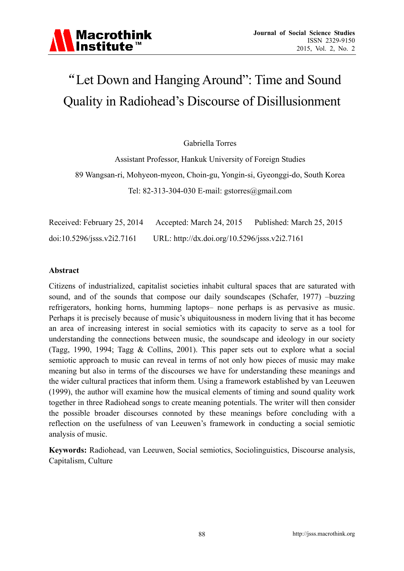

# "Let Down and Hanging Around": Time and Sound Quality in Radiohead's Discourse of Disillusionment

Gabriella Torres

Assistant Professor, Hankuk University of Foreign Studies 89 Wangsan-ri, Mohyeon-myeon, Choin-gu, Yongin-si, Gyeonggi-do, South Korea Tel: 82-313-304-030 E-mail: gstorres@gmail.com

| Received: February 25, 2014 | Accepted: March 24, 2015                      | Published: March 25, 2015 |
|-----------------------------|-----------------------------------------------|---------------------------|
| doi:10.5296/jsss.v2i2.7161  | URL: http://dx.doi.org/10.5296/jsss.v2i2.7161 |                           |

#### **Abstract**

Citizens of industrialized, capitalist societies inhabit cultural spaces that are saturated with sound, and of the sounds that compose our daily soundscapes (Schafer, 1977) –buzzing refrigerators, honking horns, humming laptops– none perhaps is as pervasive as music. Perhaps it is precisely because of music's ubiquitousness in modern living that it has become an area of increasing interest in social semiotics with its capacity to serve as a tool for understanding the connections between music, the soundscape and ideology in our society (Tagg, 1990, 1994; Tagg & Collins, 2001). This paper sets out to explore what a social semiotic approach to music can reveal in terms of not only how pieces of music may make meaning but also in terms of the discourses we have for understanding these meanings and the wider cultural practices that inform them. Using a framework established by van Leeuwen (1999), the author will examine how the musical elements of timing and sound quality work together in three Radiohead songs to create meaning potentials. The writer will then consider the possible broader discourses connoted by these meanings before concluding with a reflection on the usefulness of van Leeuwen's framework in conducting a social semiotic analysis of music.

**Keywords:** Radiohead, van Leeuwen, Social semiotics, Sociolinguistics, Discourse analysis, Capitalism, Culture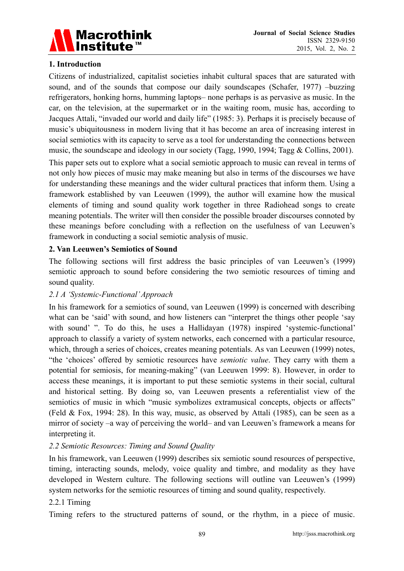

### **1. Introduction**

Citizens of industrialized, capitalist societies inhabit cultural spaces that are saturated with sound, and of the sounds that compose our daily soundscapes (Schafer, 1977) –buzzing refrigerators, honking horns, humming laptops– none perhaps is as pervasive as music. In the car, on the television, at the supermarket or in the waiting room, music has, according to Jacques Attali, "invaded our world and daily life" (1985: 3). Perhaps it is precisely because of music's ubiquitousness in modern living that it has become an area of increasing interest in social semiotics with its capacity to serve as a tool for understanding the connections between music, the soundscape and ideology in our society (Tagg, 1990, 1994; Tagg & Collins, 2001).

This paper sets out to explore what a social semiotic approach to music can reveal in terms of not only how pieces of music may make meaning but also in terms of the discourses we have for understanding these meanings and the wider cultural practices that inform them. Using a framework established by van Leeuwen (1999), the author will examine how the musical elements of timing and sound quality work together in three Radiohead songs to create meaning potentials. The writer will then consider the possible broader discourses connoted by these meanings before concluding with a reflection on the usefulness of van Leeuwen's framework in conducting a social semiotic analysis of music.

#### **2. Van Leeuwen's Semiotics of Sound**

The following sections will first address the basic principles of van Leeuwen's (1999) semiotic approach to sound before considering the two semiotic resources of timing and sound quality.

# *2.1 A 'Systemic-Functional' Approach*

In his framework for a semiotics of sound, van Leeuwen (1999) is concerned with describing what can be 'said' with sound, and how listeners can "interpret the things other people 'say with sound' ". To do this, he uses a Hallidayan (1978) inspired 'systemic-functional' approach to classify a variety of system networks, each concerned with a particular resource, which, through a series of choices, creates meaning potentials. As van Leeuwen (1999) notes, "the 'choices' offered by semiotic resources have *semiotic value*. They carry with them a potential for semiosis, for meaning-making" (van Leeuwen 1999: 8). However, in order to access these meanings, it is important to put these semiotic systems in their social, cultural and historical setting. By doing so, van Leeuwen presents a referentialist view of the semiotics of music in which "music symbolizes extramusical concepts, objects or affects" (Feld & Fox, 1994: 28). In this way, music, as observed by Attali (1985), can be seen as a mirror of society –a way of perceiving the world– and van Leeuwen's framework a means for interpreting it.

# *2.2 Semiotic Resources: Timing and Sound Quality*

In his framework, van Leeuwen (1999) describes six semiotic sound resources of perspective, timing, interacting sounds, melody, voice quality and timbre, and modality as they have developed in Western culture. The following sections will outline van Leeuwen's (1999) system networks for the semiotic resources of timing and sound quality, respectively.

#### 2.2.1 Timing

Timing refers to the structured patterns of sound, or the rhythm, in a piece of music.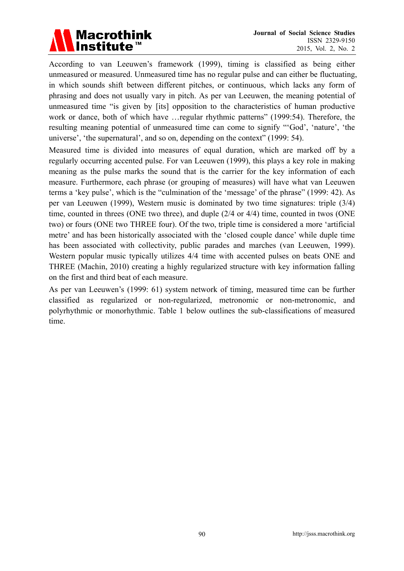

According to van Leeuwen's framework (1999), timing is classified as being either unmeasured or measured. Unmeasured time has no regular pulse and can either be fluctuating, in which sounds shift between different pitches, or continuous, which lacks any form of phrasing and does not usually vary in pitch. As per van Leeuwen, the meaning potential of unmeasured time "is given by [its] opposition to the characteristics of human productive work or dance, both of which have …regular rhythmic patterns" (1999:54). Therefore, the resulting meaning potential of unmeasured time can come to signify "'God', 'nature', 'the universe', 'the supernatural', and so on, depending on the context" (1999: 54).

Measured time is divided into measures of equal duration, which are marked off by a regularly occurring accented pulse. For van Leeuwen (1999), this plays a key role in making meaning as the pulse marks the sound that is the carrier for the key information of each measure. Furthermore, each phrase (or grouping of measures) will have what van Leeuwen terms a 'key pulse', which is the "culmination of the 'message' of the phrase" (1999: 42). As per van Leeuwen (1999), Western music is dominated by two time signatures: triple (3/4) time, counted in threes (ONE two three), and duple (2/4 or 4/4) time, counted in twos (ONE two) or fours (ONE two THREE four). Of the two, triple time is considered a more 'artificial metre' and has been historically associated with the 'closed couple dance' while duple time has been associated with collectivity, public parades and marches (van Leeuwen, 1999). Western popular music typically utilizes  $4/4$  time with accented pulses on beats ONE and THREE (Machin, 2010) creating a highly regularized structure with key information falling on the first and third beat of each measure.

As per van Leeuwen's (1999: 61) system network of timing, measured time can be further classified as regularized or non-regularized, metronomic or non-metronomic, and polyrhythmic or monorhythmic. Table 1 below outlines the sub-classifications of measured time.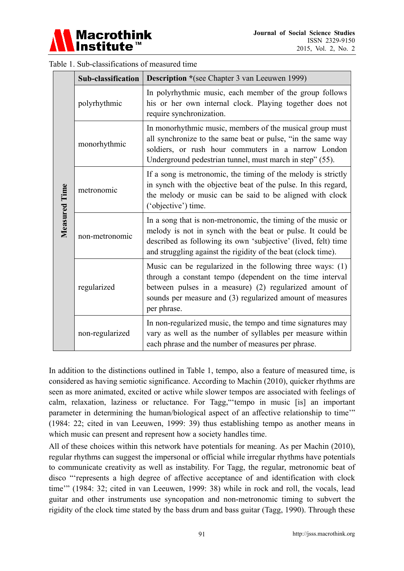

|               | <b>Sub-classification</b> | <b>Description</b> *(see Chapter 3 van Leeuwen 1999)                                                                                                                                                                                                          |  |  |
|---------------|---------------------------|---------------------------------------------------------------------------------------------------------------------------------------------------------------------------------------------------------------------------------------------------------------|--|--|
| Measured Time | polyrhythmic              | In polyrhythmic music, each member of the group follows<br>his or her own internal clock. Playing together does not<br>require synchronization.                                                                                                               |  |  |
|               | monorhythmic              | In monorhythmic music, members of the musical group must<br>all synchronize to the same beat or pulse, "in the same way<br>soldiers, or rush hour commuters in a narrow London<br>Underground pedestrian tunnel, must march in step" (55).                    |  |  |
|               | metronomic                | If a song is metronomic, the timing of the melody is strictly<br>in synch with the objective beat of the pulse. In this regard,<br>the melody or music can be said to be aligned with clock<br>('objective') time.                                            |  |  |
|               | non-metronomic            | In a song that is non-metronomic, the timing of the music or<br>melody is not in synch with the beat or pulse. It could be<br>described as following its own 'subjective' (lived, felt) time<br>and struggling against the rigidity of the beat (clock time). |  |  |
|               | regularized               | Music can be regularized in the following three ways: (1)<br>through a constant tempo (dependent on the time interval<br>between pulses in a measure) (2) regularized amount of<br>sounds per measure and (3) regularized amount of measures<br>per phrase.   |  |  |
|               | non-regularized           | In non-regularized music, the tempo and time signatures may<br>vary as well as the number of syllables per measure within<br>each phrase and the number of measures per phrase.                                                                               |  |  |

| Table 1. Sub-classifications of measured time |  |
|-----------------------------------------------|--|
|-----------------------------------------------|--|

In addition to the distinctions outlined in Table 1, tempo, also a feature of measured time, is considered as having semiotic significance. According to Machin (2010), quicker rhythms are seen as more animated, excited or active while slower tempos are associated with feelings of calm, relaxation, laziness or reluctance. For Tagg,"'tempo in music [is] an important parameter in determining the human/biological aspect of an affective relationship to time'" (1984: 22; cited in van Leeuwen, 1999: 39) thus establishing tempo as another means in which music can present and represent how a society handles time.

All of these choices within this network have potentials for meaning. As per Machin (2010), regular rhythms can suggest the impersonal or official while irregular rhythms have potentials to communicate creativity as well as instability. For Tagg, the regular, metronomic beat of disco "'represents a high degree of affective acceptance of and identification with clock time'" (1984: 32; cited in van Leeuwen, 1999: 38) while in rock and roll, the vocals, lead guitar and other instruments use syncopation and non-metronomic timing to subvert the rigidity of the clock time stated by the bass drum and bass guitar (Tagg, 1990). Through these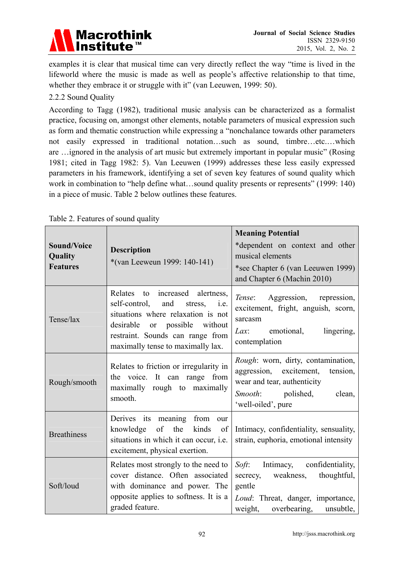

examples it is clear that musical time can very directly reflect the way "time is lived in the lifeworld where the music is made as well as people's affective relationship to that time, whether they embrace it or struggle with it" (van Leeuwen, 1999: 50).

### 2.2.2 Sound Quality

According to Tagg (1982), traditional music analysis can be characterized as a formalist practice, focusing on, amongst other elements, notable parameters of musical expression such as form and thematic construction while expressing a "nonchalance towards other parameters not easily expressed in traditional notation…such as sound, timbre…etc.…which are …ignored in the analysis of art music but extremely important in popular music" (Rosing 1981; cited in Tagg 1982: 5). Van Leeuwen (1999) addresses these less easily expressed parameters in his framework, identifying a set of seven key features of sound quality which work in combination to "help define what...sound quality presents or represents" (1999: 140) in a piece of music. Table 2 below outlines these features.

| <b>Sound/Voice</b><br>Quality<br><b>Features</b> | <b>Description</b><br>*(van Leeweun 1999: 140-141)                                                                                                                                                                                                 | <b>Meaning Potential</b><br>*dependent on context and other<br>musical elements<br>*see Chapter 6 (van Leeuwen 1999)<br>and Chapter 6 (Machin 2010)                           |
|--------------------------------------------------|----------------------------------------------------------------------------------------------------------------------------------------------------------------------------------------------------------------------------------------------------|-------------------------------------------------------------------------------------------------------------------------------------------------------------------------------|
| Tense/lax                                        | Relates to increased alertness,<br>self-control,<br>and<br>stress, <i>i.e.</i><br>situations where relaxation is not<br>possible<br>desirable<br>without<br><sub>or</sub><br>restraint. Sounds can range from<br>maximally tense to maximally lax. | <i>Tense</i> : Aggression, repression,<br>excitement, fright, anguish, scorn,<br>sarcasm<br>Lax: emotional,<br>lingering,<br>contemplation                                    |
| Rough/smooth                                     | Relates to friction or irregularity in<br>the voice. It can range from<br>maximally rough to maximally<br>smooth.                                                                                                                                  | <i>Rough</i> : worn, dirty, contamination,<br>aggression, excitement,<br>tension,<br>wear and tear, authenticity<br><i>Smooth</i> : polished,<br>clean,<br>'well-oiled', pure |
| <b>Breathiness</b>                               | Derives its meaning from<br>our<br>of the kinds<br>knowledge<br>of<br>situations in which it can occur, i.e.<br>excitement, physical exertion.                                                                                                     | Intimacy, confidentiality, sensuality,<br>strain, euphoria, emotional intensity                                                                                               |
| Soft/loud                                        | Relates most strongly to the need to<br>cover distance. Often associated<br>with dominance and power. The<br>opposite applies to softness. It is a<br>graded feature.                                                                              | Soft:<br>Intimacy,<br>confidentiality,<br>thoughtful,<br>secrecy, weakness,<br>gentle<br>Loud: Threat, danger, importance,<br>overbearing,<br>weight,<br>unsubtle,            |

Table 2. Features of sound quality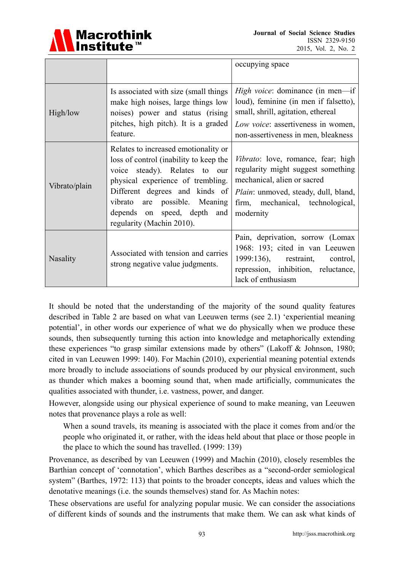

|                 |                                                                                                                                                                                                                                                                                     | occupying space                                                                                                                                                                                         |
|-----------------|-------------------------------------------------------------------------------------------------------------------------------------------------------------------------------------------------------------------------------------------------------------------------------------|---------------------------------------------------------------------------------------------------------------------------------------------------------------------------------------------------------|
| High/low        | Is associated with size (small things)<br>make high noises, large things low<br>noises) power and status (rising<br>pitches, high pitch). It is a graded<br>feature.                                                                                                                | <i>High voice:</i> dominance (in men—if<br>loud), feminine (in men if falsetto),<br>small, shrill, agitation, ethereal<br>Low voice: assertiveness in women,<br>non-assertiveness in men, bleakness     |
| Vibrato/plain   | Relates to increased emotionality or<br>loss of control (inability to keep the<br>voice steady). Relates to our<br>physical experience of trembling.<br>Different degrees and kinds of<br>vibrato are possible. Meaning<br>depends on speed, depth and<br>regularity (Machin 2010). | Vibrato: love, romance, fear; high<br>regularity might suggest something<br>mechanical, alien or sacred<br><i>Plain:</i> unmoved, steady, dull, bland,<br>firm, mechanical, technological,<br>modernity |
| <b>Nasality</b> | Associated with tension and carries<br>strong negative value judgments.                                                                                                                                                                                                             | Pain, deprivation, sorrow (Lomax<br>1968: 193; cited in van Leeuwen<br>1999:136), restraint,<br>control,<br>repression, inhibition, reluctance,<br>lack of enthusiasm                                   |

It should be noted that the understanding of the majority of the sound quality features described in Table 2 are based on what van Leeuwen terms (see 2.1) 'experiential meaning potential', in other words our experience of what we do physically when we produce these sounds, then subsequently turning this action into knowledge and metaphorically extending these experiences "to grasp similar extensions made by others" (Lakoff & Johnson, 1980; cited in van Leeuwen 1999: 140). For Machin (2010), experiential meaning potential extends more broadly to include associations of sounds produced by our physical environment, such as thunder which makes a booming sound that, when made artificially, communicates the qualities associated with thunder, i.e. vastness, power, and danger.

However, alongside using our physical experience of sound to make meaning, van Leeuwen notes that provenance plays a role as well:

When a sound travels, its meaning is associated with the place it comes from and/or the people who originated it, or rather, with the ideas held about that place or those people in the place to which the sound has travelled. (1999: 139)

Provenance, as described by van Leeuwen (1999) and Machin (2010), closely resembles the Barthian concept of 'connotation', which Barthes describes as a "second-order semiological system" (Barthes, 1972: 113) that points to the broader concepts, ideas and values which the denotative meanings (i.e. the sounds themselves) stand for. As Machin notes:

These observations are useful for analyzing popular music. We can consider the associations of different kinds of sounds and the instruments that make them. We can ask what kinds of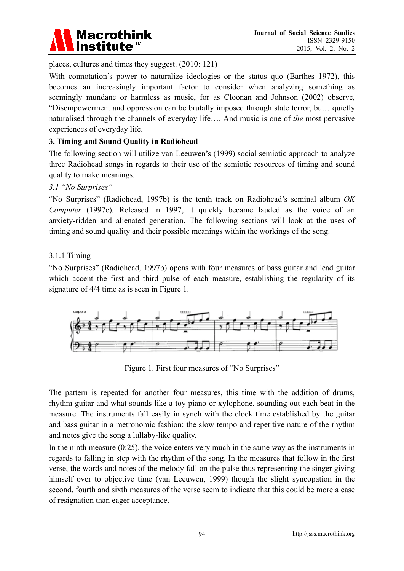

places, cultures and times they suggest. (2010: 121)

With connotation's power to naturalize ideologies or the status quo (Barthes 1972), this becomes an increasingly important factor to consider when analyzing something as seemingly mundane or harmless as music, for as Cloonan and Johnson (2002) observe, "Disempowerment and oppression can be brutally imposed through state terror, but…quietly naturalised through the channels of everyday life…. And music is one of *the* most pervasive experiences of everyday life.

#### **3. Timing and Sound Quality in Radiohead**

The following section will utilize van Leeuwen's (1999) social semiotic approach to analyze three Radiohead songs in regards to their use of the semiotic resources of timing and sound quality to make meanings.

#### *3.1 "No Surprises"*

"No Surprises" (Radiohead, 1997b) is the tenth track on Radiohead's seminal album *OK Computer* (1997c)*.* Released in 1997, it quickly became lauded as the voice of an anxiety-ridden and alienated generation. The following sections will look at the uses of timing and sound quality and their possible meanings within the workings of the song.

#### 3.1.1 Timing

"No Surprises" (Radiohead, 1997b) opens with four measures of bass guitar and lead guitar which accent the first and third pulse of each measure, establishing the regularity of its signature of 4/4 time as is seen in Figure 1.



Figure 1. First four measures of "No Surprises"

The pattern is repeated for another four measures, this time with the addition of drums, rhythm guitar and what sounds like a toy piano or xylophone, sounding out each beat in the measure. The instruments fall easily in synch with the clock time established by the guitar and bass guitar in a metronomic fashion: the slow tempo and repetitive nature of the rhythm and notes give the song a lullaby-like quality.

In the ninth measure  $(0.25)$ , the voice enters very much in the same way as the instruments in regards to falling in step with the rhythm of the song. In the measures that follow in the first verse, the words and notes of the melody fall on the pulse thus representing the singer giving himself over to objective time (van Leeuwen, 1999) though the slight syncopation in the second, fourth and sixth measures of the verse seem to indicate that this could be more a case of resignation than eager acceptance.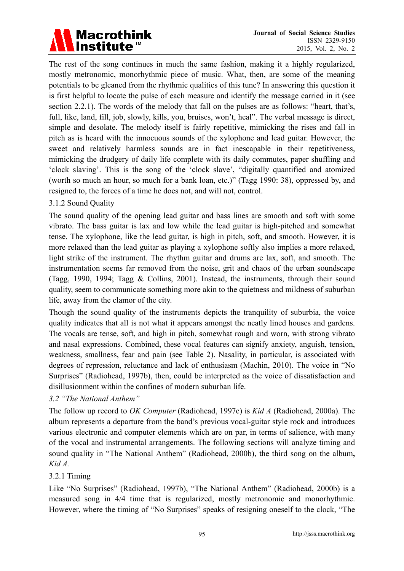# **Macrothink** Institute<sup>™</sup>

The rest of the song continues in much the same fashion, making it a highly regularized, mostly metronomic, monorhythmic piece of music. What, then, are some of the meaning potentials to be gleaned from the rhythmic qualities of this tune? In answering this question it is first helpful to locate the pulse of each measure and identify the message carried in it (see section 2.2.1). The words of the melody that fall on the pulses are as follows: "heart, that's, full, like, land, fill, job, slowly, kills, you, bruises, won't, heal". The verbal message is direct, simple and desolate. The melody itself is fairly repetitive, mimicking the rises and fall in pitch as is heard with the innocuous sounds of the xylophone and lead guitar. However, the sweet and relatively harmless sounds are in fact inescapable in their repetitiveness, mimicking the drudgery of daily life complete with its daily commutes, paper shuffling and 'clock slaving'. This is the song of the 'clock slave', "digitally quantified and atomized (worth so much an hour, so much for a bank loan, etc.)" (Tagg 1990: 38), oppressed by, and resigned to, the forces of a time he does not, and will not, control.

# 3.1.2 Sound Quality

The sound quality of the opening lead guitar and bass lines are smooth and soft with some vibrato. The bass guitar is lax and low while the lead guitar is high-pitched and somewhat tense. The xylophone, like the lead guitar, is high in pitch, soft, and smooth. However, it is more relaxed than the lead guitar as playing a xylophone softly also implies a more relaxed, light strike of the instrument. The rhythm guitar and drums are lax, soft, and smooth. The instrumentation seems far removed from the noise, grit and chaos of the urban soundscape (Tagg, 1990, 1994; Tagg & Collins, 2001). Instead, the instruments, through their sound quality, seem to communicate something more akin to the quietness and mildness of suburban life, away from the clamor of the city.

Though the sound quality of the instruments depicts the tranquility of suburbia, the voice quality indicates that all is not what it appears amongst the neatly lined houses and gardens. The vocals are tense, soft, and high in pitch, somewhat rough and worn, with strong vibrato and nasal expressions. Combined, these vocal features can signify anxiety, anguish, tension, weakness, smallness, fear and pain (see Table 2). Nasality, in particular, is associated with degrees of repression, reluctance and lack of enthusiasm (Machin, 2010). The voice in "No Surprises" (Radiohead, 1997b), then, could be interpreted as the voice of dissatisfaction and disillusionment within the confines of modern suburban life.

#### *3.2 "The National Anthem"*

The follow up record to *OK Computer* (Radiohead, 1997c) is *Kid A* (Radiohead, 2000a). The album represents a departure from the band's previous vocal-guitar style rock and introduces various electronic and computer elements which are on par, in terms of salience, with many of the vocal and instrumental arrangements. The following sections will analyze timing and sound quality in "The National Anthem" (Radiohead, 2000b), the third song on the album**,**  *Kid A.* 

#### 3.2.1 Timing

Like "No Surprises" (Radiohead, 1997b), "The National Anthem" (Radiohead, 2000b) is a measured song in 4/4 time that is regularized, mostly metronomic and monorhythmic. However, where the timing of "No Surprises" speaks of resigning oneself to the clock, "The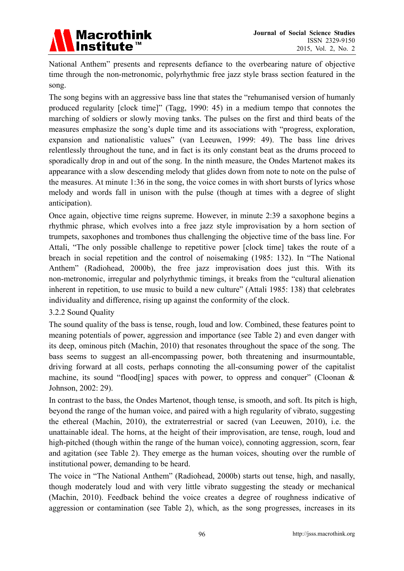

National Anthem" presents and represents defiance to the overbearing nature of objective time through the non-metronomic, polyrhythmic free jazz style brass section featured in the song.

The song begins with an aggressive bass line that states the "rehumanised version of humanly produced regularity [clock time]" (Tagg, 1990: 45) in a medium tempo that connotes the marching of soldiers or slowly moving tanks. The pulses on the first and third beats of the measures emphasize the song's duple time and its associations with "progress, exploration, expansion and nationalistic values" (van Leeuwen, 1999: 49). The bass line drives relentlessly throughout the tune, and in fact is its only constant beat as the drums proceed to sporadically drop in and out of the song. In the ninth measure, the Ondes Martenot makes its appearance with a slow descending melody that glides down from note to note on the pulse of the measures. At minute 1:36 in the song, the voice comes in with short bursts of lyrics whose melody and words fall in unison with the pulse (though at times with a degree of slight anticipation).

Once again, objective time reigns supreme. However, in minute 2:39 a saxophone begins a rhythmic phrase, which evolves into a free jazz style improvisation by a horn section of trumpets, saxophones and trombones thus challenging the objective time of the bass line. For Attali, "The only possible challenge to repetitive power [clock time] takes the route of a breach in social repetition and the control of noisemaking (1985: 132). In "The National Anthem" (Radiohead, 2000b), the free jazz improvisation does just this. With its non-metronomic, irregular and polyrhythmic timings, it breaks from the "cultural alienation inherent in repetition, to use music to build a new culture" (Attali 1985: 138) that celebrates individuality and difference, rising up against the conformity of the clock.

#### 3.2.2 Sound Quality

The sound quality of the bass is tense, rough, loud and low. Combined, these features point to meaning potentials of power, aggression and importance (see Table 2) and even danger with its deep, ominous pitch (Machin, 2010) that resonates throughout the space of the song. The bass seems to suggest an all-encompassing power, both threatening and insurmountable, driving forward at all costs, perhaps connoting the all-consuming power of the capitalist machine, its sound "flood [ing] spaces with power, to oppress and conquer" (Cloonan  $\&$ Johnson, 2002: 29).

In contrast to the bass, the Ondes Martenot, though tense, is smooth, and soft. Its pitch is high, beyond the range of the human voice, and paired with a high regularity of vibrato, suggesting the ethereal (Machin, 2010), the extraterrestrial or sacred (van Leeuwen, 2010), i.e. the unattainable ideal. The horns, at the height of their improvisation, are tense, rough, loud and high-pitched (though within the range of the human voice), connoting aggression, scorn, fear and agitation (see Table 2). They emerge as the human voices, shouting over the rumble of institutional power, demanding to be heard.

The voice in "The National Anthem" (Radiohead, 2000b) starts out tense, high, and nasally, though moderately loud and with very little vibrato suggesting the steady or mechanical (Machin, 2010). Feedback behind the voice creates a degree of roughness indicative of aggression or contamination (see Table 2), which, as the song progresses, increases in its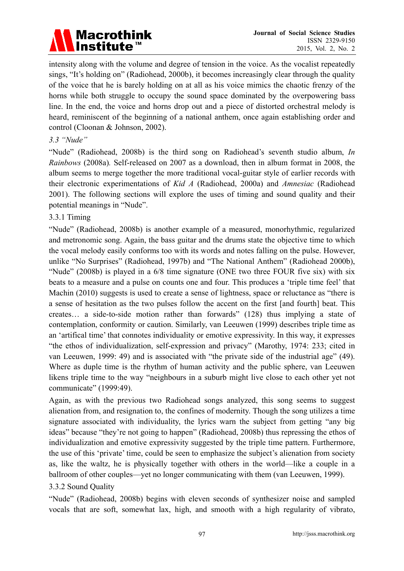

intensity along with the volume and degree of tension in the voice. As the vocalist repeatedly sings, "It's holding on" (Radiohead, 2000b), it becomes increasingly clear through the quality of the voice that he is barely holding on at all as his voice mimics the chaotic frenzy of the horns while both struggle to occupy the sound space dominated by the overpowering bass line. In the end, the voice and horns drop out and a piece of distorted orchestral melody is heard, reminiscent of the beginning of a national anthem, once again establishing order and control (Cloonan & Johnson, 2002).

#### *3.3 "Nude"*

"Nude" (Radiohead, 2008b) is the third song on Radiohead's seventh studio album, *In Rainbows* (2008a)*.* Self-released on 2007 as a download, then in album format in 2008, the album seems to merge together the more traditional vocal-guitar style of earlier records with their electronic experimentations of *Kid A* (Radiohead, 2000a) and *Amnesiac* (Radiohead 2001). The following sections will explore the uses of timing and sound quality and their potential meanings in "Nude".

#### 3.3.1 Timing

"Nude" (Radiohead, 2008b) is another example of a measured, monorhythmic, regularized and metronomic song. Again, the bass guitar and the drums state the objective time to which the vocal melody easily conforms too with its words and notes falling on the pulse. However, unlike "No Surprises" (Radiohead, 1997b) and "The National Anthem" (Radiohead 2000b), "Nude" (2008b) is played in a 6/8 time signature (ONE two three FOUR five six) with six beats to a measure and a pulse on counts one and four. This produces a 'triple time feel' that Machin (2010) suggests is used to create a sense of lightness, space or reluctance as "there is a sense of hesitation as the two pulses follow the accent on the first [and fourth] beat. This creates… a side-to-side motion rather than forwards" (128) thus implying a state of contemplation, conformity or caution. Similarly, van Leeuwen (1999) describes triple time as an 'artifical time' that connotes individuality or emotive expressivity. In this way, it expresses "the ethos of individualization, self-expression and privacy" (Marothy, 1974: 233; cited in van Leeuwen, 1999: 49) and is associated with "the private side of the industrial age" (49). Where as duple time is the rhythm of human activity and the public sphere, van Leeuwen likens triple time to the way "neighbours in a suburb might live close to each other yet not communicate" (1999:49).

Again, as with the previous two Radiohead songs analyzed, this song seems to suggest alienation from, and resignation to, the confines of modernity. Though the song utilizes a time signature associated with individuality, the lyrics warn the subject from getting "any big ideas" because "they're not going to happen" (Radiohead, 2008b) thus repressing the ethos of individualization and emotive expressivity suggested by the triple time pattern. Furthermore, the use of this 'private' time, could be seen to emphasize the subject's alienation from society as, like the waltz, he is physically together with others in the world—like a couple in a ballroom of other couples—yet no longer communicating with them (van Leeuwen, 1999).

#### 3.3.2 Sound Quality

"Nude" (Radiohead, 2008b) begins with eleven seconds of synthesizer noise and sampled vocals that are soft, somewhat lax, high, and smooth with a high regularity of vibrato,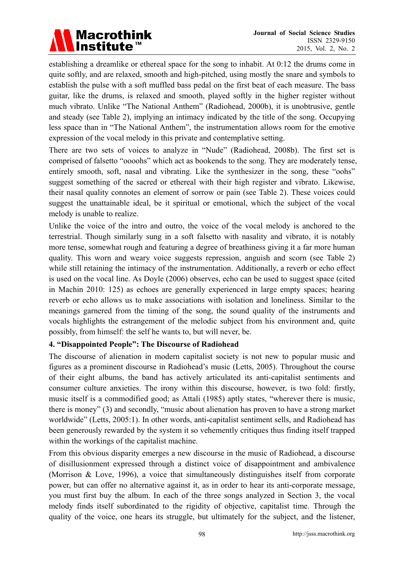# **Macrothink** <u>Institute</u>™

establishing a dreamlike or ethereal space for the song to inhabit. At 0:12 the drums come in quite softly, and are relaxed, smooth and high-pitched, using mostly the snare and symbols to establish the pulse with a soft muffled bass pedal on the first beat of each measure. The bass guitar, like the drums, is relaxed and smooth, played softly in the higher register without much vibrato. Unlike "The National Anthem" (Radiohead, 2000b), it is unobtrusive, gentle and steady (see Table 2), implying an intimacy indicated by the title of the song. Occupying less space than in "The National Anthem", the instrumentation allows room for the emotive expression of the vocal melody in this private and contemplative setting.

There are two sets of voices to analyze in "Nude" (Radiohead, 2008b). The first set is comprised of falsetto "oooohs" which act as bookends to the song. They are moderately tense, entirely smooth, soft, nasal and vibrating. Like the synthesizer in the song, these "oohs" suggest something of the sacred or ethereal with their high register and vibrato. Likewise, their nasal quality connotes an element of sorrow or pain (see Table 2). These voices could suggest the unattainable ideal, be it spiritual or emotional, which the subject of the vocal melody is unable to realize.

Unlike the voice of the intro and outro, the voice of the vocal melody is anchored to the terrestrial. Though similarly sung in a soft falsetto with nasality and vibrato, it is notably more tense, somewhat rough and featuring a degree of breathiness giving it a far more human quality. This worn and weary voice suggests repression, anguish and scorn (see Table 2) while still retaining the intimacy of the instrumentation. Additionally, a reverb or echo effect is used on the vocal line. As Doyle (2006) observes, echo can be used to suggest space (cited in Machin 2010: 125) as echoes are generally experienced in large empty spaces; hearing reverb or echo allows us to make associations with isolation and loneliness. Similar to the meanings garnered from the timing of the song, the sound quality of the instruments and vocals highlights the estrangement of the melodic subject from his environment and, quite possibly, from himself: the self he wants to, but will never, be.

#### **4. "Disappointed People": The Discourse of Radiohead**

The discourse of alienation in modern capitalist society is not new to popular music and figures as a prominent discourse in Radiohead's music (Letts, 2005). Throughout the course of their eight albums, the band has actively articulated its anti-capitalist sentiments and consumer culture anxieties. The irony within this discourse, however, is two fold: firstly, music itself is a commodified good; as Attali (1985) aptly states, "wherever there is music, there is money" (3) and secondly, "music about alienation has proven to have a strong market worldwide" (Letts, 2005:1). In other words, anti-capitalist sentiment sells, and Radiohead has been generously rewarded by the system it so vehemently critiques thus finding itself trapped within the workings of the capitalist machine.

From this obvious disparity emerges a new discourse in the music of Radiohead, a discourse of disillusionment expressed through a distinct voice of disappointment and ambivalence (Morrison & Love, 1996), a voice that simultaneously distinguishes itself from corporate power, but can offer no alternative against it, as in order to hear its anti-corporate message, you must first buy the album. In each of the three songs analyzed in Section 3, the vocal melody finds itself subordinated to the rigidity of objective, capitalist time. Through the quality of the voice, one hears its struggle, but ultimately for the subject, and the listener,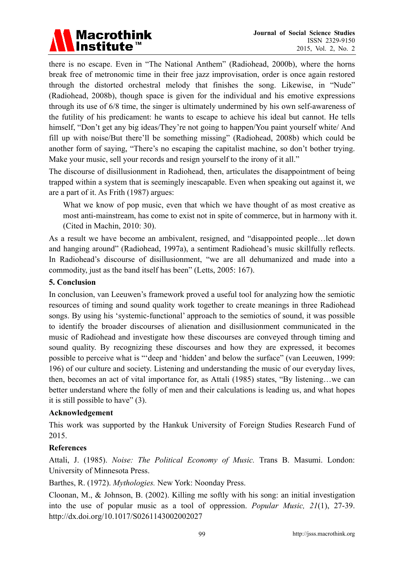# **Macrothink** Institute<sup>™</sup>

there is no escape. Even in "The National Anthem" (Radiohead, 2000b), where the horns break free of metronomic time in their free jazz improvisation, order is once again restored through the distorted orchestral melody that finishes the song. Likewise, in "Nude" (Radiohead, 2008b), though space is given for the individual and his emotive expressions through its use of 6/8 time, the singer is ultimately undermined by his own self-awareness of the futility of his predicament: he wants to escape to achieve his ideal but cannot. He tells himself, "Don't get any big ideas/They're not going to happen/You paint yourself white/ And fill up with noise/But there'll be something missing" (Radiohead, 2008b) which could be another form of saying, "There's no escaping the capitalist machine, so don't bother trying. Make your music, sell your records and resign yourself to the irony of it all."

The discourse of disillusionment in Radiohead, then, articulates the disappointment of being trapped within a system that is seemingly inescapable. Even when speaking out against it, we are a part of it. As Frith (1987) argues:

What we know of pop music, even that which we have thought of as most creative as most anti-mainstream, has come to exist not in spite of commerce, but in harmony with it. (Cited in Machin, 2010: 30).

As a result we have become an ambivalent, resigned, and "disappointed people…let down and hanging around" (Radiohead, 1997a), a sentiment Radiohead's music skillfully reflects. In Radiohead's discourse of disillusionment, "we are all dehumanized and made into a commodity, just as the band itself has been" (Letts, 2005: 167).

### **5. Conclusion**

In conclusion, van Leeuwen's framework proved a useful tool for analyzing how the semiotic resources of timing and sound quality work together to create meanings in three Radiohead songs. By using his 'systemic-functional' approach to the semiotics of sound, it was possible to identify the broader discourses of alienation and disillusionment communicated in the music of Radiohead and investigate how these discourses are conveyed through timing and sound quality. By recognizing these discourses and how they are expressed, it becomes possible to perceive what is "'deep and 'hidden' and below the surface" (van Leeuwen, 1999: 196) of our culture and society. Listening and understanding the music of our everyday lives, then, becomes an act of vital importance for, as Attali (1985) states, "By listening…we can better understand where the folly of men and their calculations is leading us, and what hopes it is still possible to have" (3).

#### **Acknowledgement**

This work was supported by the Hankuk University of Foreign Studies Research Fund of 2015.

# **References**

Attali, J. (1985). *Noise: The Political Economy of Music.* Trans B. Masumi. London: University of Minnesota Press.

Barthes, R. (1972). *Mythologies.* New York: Noonday Press.

Cloonan, M., & Johnson, B. (2002). Killing me softly with his song: an initial investigation into the use of popular music as a tool of oppression. *Popular Music, 21*(1), 27-39. http://dx.doi.org/10.1017/S0261143002002027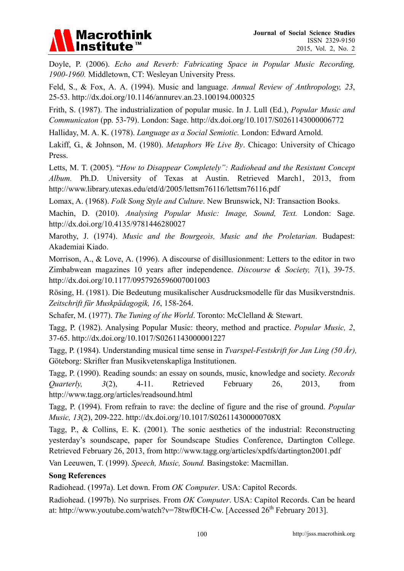

Doyle, P. (2006). *Echo and Reverb: Fabricating Space in Popular Music Recording, 1900-1960.* Middletown, CT: Wesleyan University Press.

Feld, S., & Fox, A. A. (1994). Music and language. *Annual Review of Anthropology, 23*, 25-53. http://dx.doi.org/10.1146/annurev.an.23.100194.000325

Frith, S. (1987). The industrialization of popular music. In J. Lull (Ed.), *Popular Music and Communicaton* (pp. 53-79). London: Sage. http://dx.doi.org/10.1017/S0261143000006772

Halliday, M. A. K. (1978). *Language as a Social Semiotic.* London: Edward Arnold.

Lakiff, G., & Johnson, M. (1980). *Metaphors We Live By*. Chicago: University of Chicago Press.

Letts, M. T. (2005). "*How to Disappear Completely": Radiohead and the Resistant Concept Album.* Ph.D. University of Texas at Austin. Retrieved March1, 2013, from http://www.library.utexas.edu/etd/d/2005/lettsm76116/lettsm76116.pdf

Lomax, A. (1968). *Folk Song Style and Culture*. New Brunswick, NJ: Transaction Books.

Machin, D. (2010). *Analysing Popular Music: Image, Sound, Text.* London: Sage. http://dx.doi.org/10.4135/9781446280027

Marothy, J. (1974). *Music and the Bourgeois, Music and the Proletarian*. Budapest: Akademiai Kiado.

Morrison, A., & Love, A. (1996). A discourse of disillusionment: Letters to the editor in two Zimbabwean magazines 10 years after independence. *Discourse & Society, 7*(1), 39-75. http://dx.doi.org/10.1177/0957926596007001003

Rösing, H. (1981). Die Bedeutung musikalischer Ausdrucksmodelle für das Musikverstndnis. *Zeitschrift für Muskpädagogik, 16*, 158-264.

Schafer, M. (1977). *The Tuning of the World*. Toronto: McClelland & Stewart.

Tagg, P. (1982). Analysing Popular Music: theory, method and practice. *Popular Music, 2*, 37-65. http://dx.doi.org/10.1017/S0261143000001227

Tagg, P. (1984). Understanding musical time sense in *Tvarspel-Festskrift for Jan Ling (50 År),*  Göteborg: Skrifter fran Musikvetenskapliga Institutionen.

Tagg, P. (1990). Reading sounds: an essay on sounds, music, knowledge and society. *Records Quarterly, 3*(2), 4-11. Retrieved February 26, 2013, from http://www.tagg.org/articles/readsound.html

Tagg, P. (1994). From refrain to rave: the decline of figure and the rise of ground. *Popular Music, 13*(2), 209-222. http://dx.doi.org/10.1017/S026114300000708X

Tagg, P., & Collins, E. K. (2001). The sonic aesthetics of the industrial: Reconstructing yesterday's soundscape, paper for Soundscape Studies Conference, Dartington College. Retrieved February 26, 2013, from http://www.tagg.org/articles/xpdfs/dartington2001.pdf

Van Leeuwen, T. (1999). *Speech, Music, Sound.* Basingstoke: Macmillan.

#### **Song References**

Radiohead. (1997a). Let down. From *OK Computer*. USA: Capitol Records.

Radiohead. (1997b). No surprises. From *OK Computer*. USA: Capitol Records. Can be heard at: http://www.youtube.com/watch?v=78twf0CH-Cw. [Accessed  $26<sup>th</sup>$  February 2013].